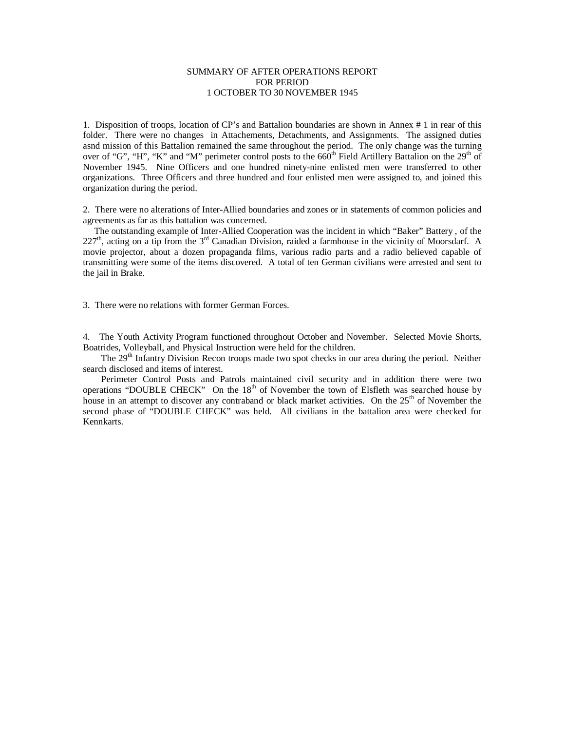## SUMMARY OF AFTER OPERATIONS REPORT FOR PERIOD 1 OCTOBER TO 30 NOVEMBER 1945

1. Disposition of troops, location of CP's and Battalion boundaries are shown in Annex # 1 in rear of this folder. There were no changes in Attachements, Detachments, and Assignments. The assigned duties asnd mission of this Battalion remained the same throughout the period. The only change was the turning over of "G", "H", "K" and "M" perimeter control posts to the  $660<sup>th</sup>$  Field Artillery Battalion on the 29<sup>th</sup> of November 1945. Nine Officers and one hundred ninety-nine enlisted men were transferred to other organizations. Three Officers and three hundred and four enlisted men were assigned to, and joined this organization during the period.

2. There were no alterations of Inter-Allied boundaries and zones or in statements of common policies and agreements as far as this battalion was concerned.

 The outstanding example of Inter-Allied Cooperation was the incident in which "Baker" Battery , of the  $227<sup>th</sup>$ , acting on a tip from the 3<sup>rd</sup> Canadian Division, raided a farmhouse in the vicinity of Moorsdarf. A movie projector, about a dozen propaganda films, various radio parts and a radio believed capable of transmitting were some of the items discovered. A total of ten German civilians were arrested and sent to the jail in Brake.

3. There were no relations with former German Forces.

4. The Youth Activity Program functioned throughout October and November. Selected Movie Shorts, Boatrides, Volleyball, and Physical Instruction were held for the children.

The 29<sup>th</sup> Infantry Division Recon troops made two spot checks in our area during the period. Neither search disclosed and items of interest.

 Perimeter Control Posts and Patrols maintained civil security and in addition there were two operations "DOUBLE CHECK" On the 18<sup>th</sup> of November the town of Elsfleth was searched house by house in an attempt to discover any contraband or black market activities. On the 25<sup>th</sup> of November the second phase of "DOUBLE CHECK" was held. All civilians in the battalion area were checked for Kennkarts.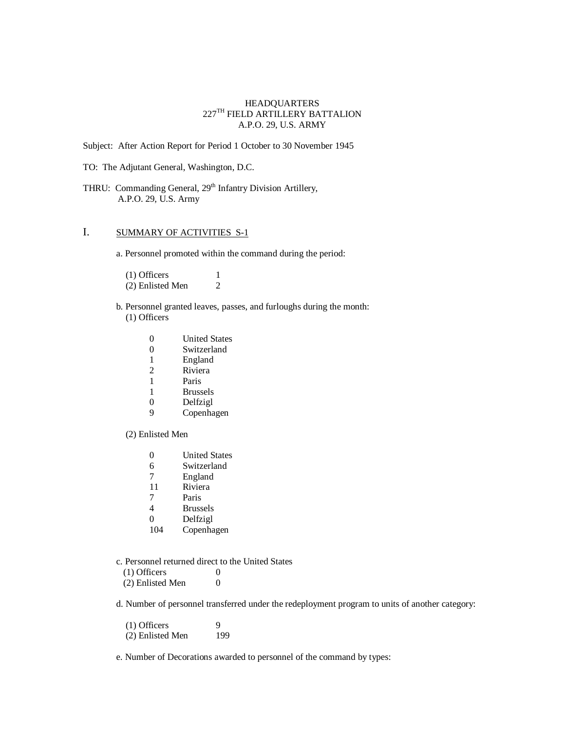## HEADQUARTERS 227<sup>TH</sup> FIELD ARTILLERY BATTALION A.P.O. 29, U.S. ARMY

Subject: After Action Report for Period 1 October to 30 November 1945

TO: The Adjutant General, Washington, D.C.

THRU: Commanding General, 29<sup>th</sup> Infantry Division Artillery, A.P.O. 29, U.S. Army

# I. SUMMARY OF ACTIVITIES S-1

a. Personnel promoted within the command during the period:

 (1) Officers 1 (2) Enlisted Men 2

- b. Personnel granted leaves, passes, and furloughs during the month: (1) Officers
	- 0 United States
	- 0 Switzerland<br>1 England
	- **England**
	- 2 Riviera
	-
	- 1 Paris<br>1 Bruss **Brussels**
	- 0 Delfzigl
	- 9 Copenhagen

## (2) Enlisted Men

- 0 United States
- 6 Switzerland
- 7 England
- 11 Riviera
- 7 Paris
- 4 Brussels<br>0 Delfzigl
- **Delfzigl**
- 104 Copenhagen
- c. Personnel returned direct to the United States
	- (1) Officers  $\begin{array}{cc} 0 & 0 \\ (2) &$  Enlisted Men  $\end{array}$
	- $(2)$  Enlisted Men
- d. Number of personnel transferred under the redeployment program to units of another category:

(1) Officers 9<br>(2) Enlisted Men 199 (2) Enlisted Men

e. Number of Decorations awarded to personnel of the command by types: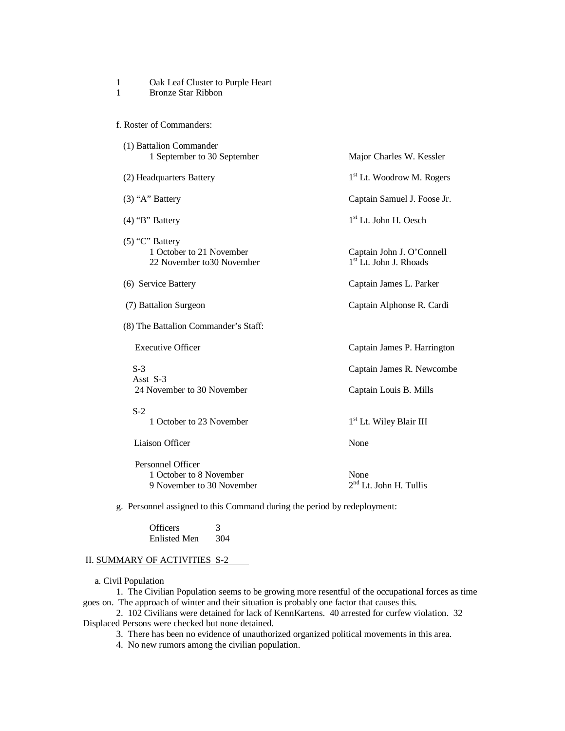| 1 | <b>Bronze Star Ribbon</b>                                                   |                                                                 |
|---|-----------------------------------------------------------------------------|-----------------------------------------------------------------|
|   | f. Roster of Commanders:                                                    |                                                                 |
|   | (1) Battalion Commander<br>1 September to 30 September                      | Major Charles W. Kessler                                        |
|   | (2) Headquarters Battery                                                    | 1 <sup>st</sup> Lt. Woodrow M. Rogers                           |
|   | $(3)$ "A" Battery                                                           | Captain Samuel J. Foose Jr.                                     |
|   | $(4)$ "B" Battery                                                           | $1st$ Lt. John H. Oesch                                         |
|   | $(5)$ "C" Battery<br>1 October to 21 November<br>22 November to 30 November | Captain John J. O'Connell<br>1 <sup>st</sup> Lt. John J. Rhoads |
|   | (6) Service Battery                                                         | Captain James L. Parker                                         |
|   | (7) Battalion Surgeon                                                       | Captain Alphonse R. Cardi                                       |
|   | (8) The Battalion Commander's Staff:                                        |                                                                 |
|   | <b>Executive Officer</b>                                                    | Captain James P. Harrington                                     |
|   | $S-3$<br>Asst $S-3$<br>24 November to 30 November                           | Captain James R. Newcombe<br>Captain Louis B. Mills             |
|   | $S-2$<br>1 October to 23 November                                           | 1 <sup>st</sup> Lt. Wiley Blair III                             |
|   | Liaison Officer                                                             | None                                                            |
|   | Personnel Officer<br>1 October to 8 November<br>9 November to 30 November   | None<br>2 <sup>nd</sup> Lt. John H. Tullis                      |

g. Personnel assigned to this Command during the period by redeployment:

| <b>Officers</b>     | 3   |
|---------------------|-----|
| <b>Enlisted Men</b> | 304 |

1 Oak Leaf Cluster to Purple Heart

# II. SUMMARY OF ACTIVITIES S-2

a. Civil Population

1. The Civilian Population seems to be growing more resentful of the occupational forces as time goes on. The approach of winter and their situation is probably one factor that causes this.

2. 102 Civilians were detained for lack of KennKartens. 40 arrested for curfew violation. 32 Displaced Persons were checked but none detained.

3. There has been no evidence of unauthorized organized political movements in this area.

4. No new rumors among the civilian population.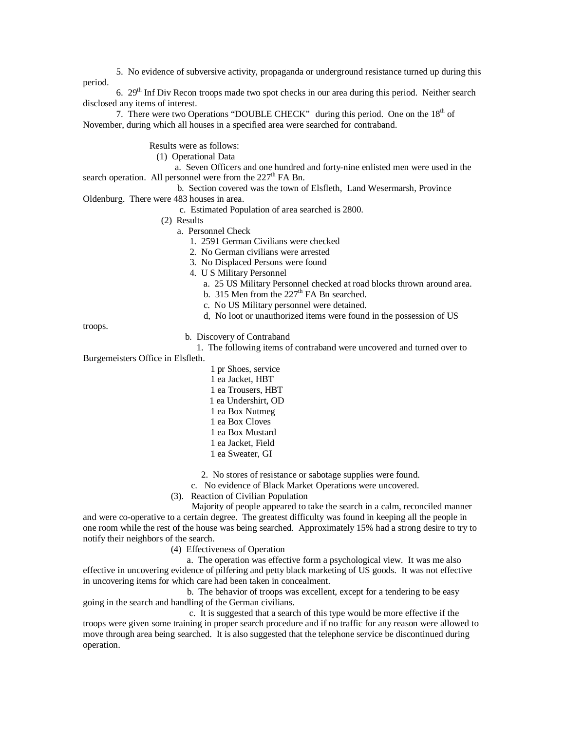5. No evidence of subversive activity, propaganda or underground resistance turned up during this period.

6.  $29<sup>th</sup>$  Inf Div Recon troops made two spot checks in our area during this period. Neither search disclosed any items of interest.

7. There were two Operations "DOUBLE CHECK" during this period. One on the  $18<sup>th</sup>$  of November, during which all houses in a specified area were searched for contraband.

Results were as follows:

(1) Operational Data

 a. Seven Officers and one hundred and forty-nine enlisted men were used in the search operation. All personnel were from the  $227<sup>th</sup> FA Bn$ .

b. Section covered was the town of Elsfleth, Land Wesermarsh, Province

Oldenburg. There were 483 houses in area.

c. Estimated Population of area searched is 2800.

(2) Results

- a. Personnel Check
	- 1. 2591 German Civilians were checked
	- 2. No German civilians were arrested
	- 3. No Displaced Persons were found
	- 4. U S Military Personnel
		- a. 25 US Military Personnel checked at road blocks thrown around area.
		- b. 315 Men from the  $227<sup>th</sup>$  FA Bn searched.
		- c. No US Military personnel were detained.
		- d, No loot or unauthorized items were found in the possession of US

troops.

b. Discovery of Contraband

1. The following items of contraband were uncovered and turned over to

Burgemeisters Office in Elsfleth.

 1 pr Shoes, service 1 ea Jacket, HBT 1 ea Trousers, HBT 1 ea Undershirt, OD 1 ea Box Nutmeg 1 ea Box Cloves 1 ea Box Mustard 1 ea Jacket, Field 1 ea Sweater, GI

2. No stores of resistance or sabotage supplies were found.

c. No evidence of Black Market Operations were uncovered.

(3). Reaction of Civilian Population

 Majority of people appeared to take the search in a calm, reconciled manner and were co-operative to a certain degree. The greatest difficulty was found in keeping all the people in one room while the rest of the house was being searched. Approximately 15% had a strong desire to try to notify their neighbors of the search.

(4) Effectiveness of Operation

 a. The operation was effective form a psychological view. It was me also effective in uncovering evidence of pilfering and petty black marketing of US goods. It was not effective in uncovering items for which care had been taken in concealment.

 b. The behavior of troops was excellent, except for a tendering to be easy going in the search and handling of the German civilians.

 c. It is suggested that a search of this type would be more effective if the troops were given some training in proper search procedure and if no traffic for any reason were allowed to move through area being searched. It is also suggested that the telephone service be discontinued during operation.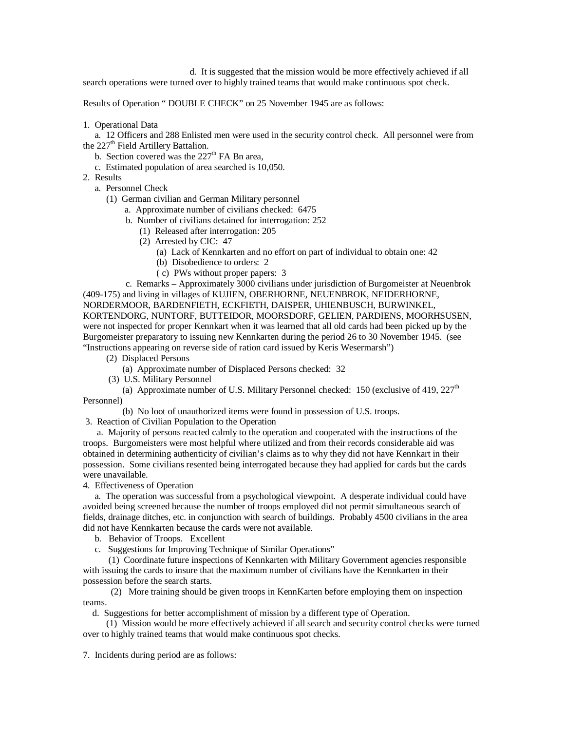d. It is suggested that the mission would be more effectively achieved if all search operations were turned over to highly trained teams that would make continuous spot check.

Results of Operation " DOUBLE CHECK" on 25 November 1945 are as follows:

1. Operational Data

 a. 12 Officers and 288 Enlisted men were used in the security control check. All personnel were from the 227<sup>th</sup> Field Artillery Battalion.

- b. Section covered was the  $227<sup>th</sup> FA Bn$  area,
- c. Estimated population of area searched is 10,050.
- 2. Results

a. Personnel Check

- (1) German civilian and German Military personnel
	- a. Approximate number of civilians checked: 6475
	- b. Number of civilians detained for interrogation: 252
		- (1) Released after interrogation: 205
		- (2) Arrested by CIC: 47
			- (a) Lack of Kennkarten and no effort on part of individual to obtain one: 42
			- (b) Disobedience to orders: 2
			- ( c) PWs without proper papers: 3

 c. Remarks – Approximately 3000 civilians under jurisdiction of Burgomeister at Neuenbrok (409-175) and living in villages of KUJIEN, OBERHORNE, NEUENBROK, NEIDERHORNE, NORDERMOOR, BARDENFIETH, ECKFIETH, DAISPER, UHIENBUSCH, BURWINKEL, KORTENDORG, NUNTORF, BUTTEIDOR, MOORSDORF, GELIEN, PARDIENS, MOORHSUSEN, were not inspected for proper Kennkart when it was learned that all old cards had been picked up by the Burgomeister preparatory to issuing new Kennkarten during the period 26 to 30 November 1945. (see "Instructions appearing on reverse side of ration card issued by Keris Wesermarsh")

- (2) Displaced Persons
	- (a) Approximate number of Displaced Persons checked: 32
- (3) U.S. Military Personnel

(a) Approximate number of U.S. Military Personnel checked:  $150$  (exclusive of 419,  $227<sup>th</sup>$ Personnel)

(b) No loot of unauthorized items were found in possession of U.S. troops.

3. Reaction of Civilian Population to the Operation

 a. Majority of persons reacted calmly to the operation and cooperated with the instructions of the troops. Burgomeisters were most helpful where utilized and from their records considerable aid was obtained in determining authenticity of civilian's claims as to why they did not have Kennkart in their possession. Some civilians resented being interrogated because they had applied for cards but the cards were unavailable.

4. Effectiveness of Operation

 a. The operation was successful from a psychological viewpoint. A desperate individual could have avoided being screened because the number of troops employed did not permit simultaneous search of fields, drainage ditches, etc. in conjunction with search of buildings. Probably 4500 civilians in the area did not have Kennkarten because the cards were not available.

b. Behavior of Troops. Excellent

c. Suggestions for Improving Technique of Similar Operations"

 (1) Coordinate future inspections of Kennkarten with Military Government agencies responsible with issuing the cards to insure that the maximum number of civilians have the Kennkarten in their possession before the search starts.

 (2) More training should be given troops in KennKarten before employing them on inspection teams.

d. Suggestions for better accomplishment of mission by a different type of Operation.

 (1) Mission would be more effectively achieved if all search and security control checks were turned over to highly trained teams that would make continuous spot checks.

7. Incidents during period are as follows: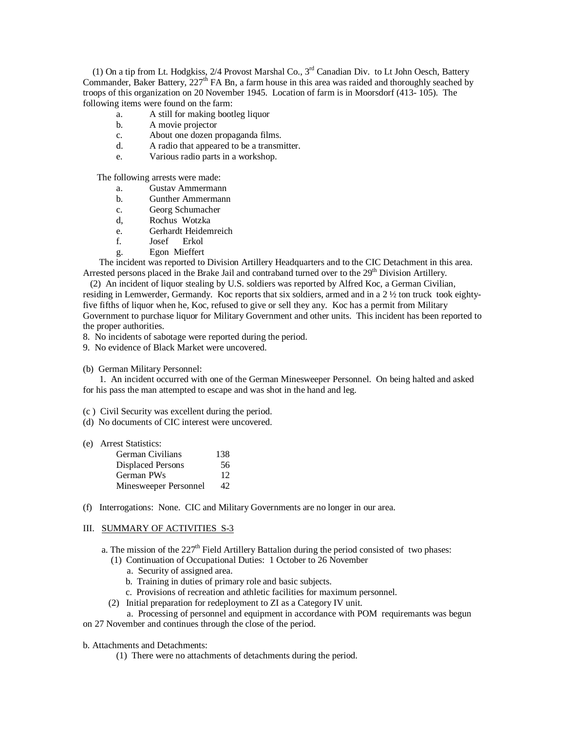(1) On a tip from Lt. Hodgkiss, 2/4 Provost Marshal Co., 3rd Canadian Div. to Lt John Oesch, Battery Commander, Baker Battery,  $227<sup>th</sup>$  FA Bn, a farm house in this area was raided and thoroughly seached by troops of this organization on 20 November 1945. Location of farm is in Moorsdorf (413- 105). The following items were found on the farm:

- a. A still for making bootleg liquor
- b. A movie projector
- c. About one dozen propaganda films.
- d. A radio that appeared to be a transmitter.
- e. Various radio parts in a workshop.

The following arrests were made:

- a. Gustav Ammermann
- b. Gunther Ammermann
- c. Georg Schumacher
- d, Rochus Wotzka
- e. Gerhardt Heidemreich
- f. Josef Erkol
- g. Egon Mieffert

 The incident was reported to Division Artillery Headquarters and to the CIC Detachment in this area. Arrested persons placed in the Brake Jail and contraband turned over to the 29<sup>th</sup> Division Artillery.

 (2) An incident of liquor stealing by U.S. soldiers was reported by Alfred Koc, a German Civilian, residing in Lemwerder, Germandy. Koc reports that six soldiers, armed and in a 2 ½ ton truck took eightyfive fifths of liquor when he, Koc, refused to give or sell they any. Koc has a permit from Military Government to purchase liquor for Military Government and other units. This incident has been reported to the proper authorities.

8. No incidents of sabotage were reported during the period.

9. No evidence of Black Market were uncovered.

(b) German Military Personnel:

 1. An incident occurred with one of the German Minesweeper Personnel. On being halted and asked for his pass the man attempted to escape and was shot in the hand and leg.

- (c ) Civil Security was excellent during the period.
- (d) No documents of CIC interest were uncovered.
- (e) Arrest Statistics:

| German Civilians         | 138 |
|--------------------------|-----|
| <b>Displaced Persons</b> | 56  |
| German PWs               | 12  |
| Minesweeper Personnel    | 42. |

(f) Interrogations: None. CIC and Military Governments are no longer in our area.

## III. SUMMARY OF ACTIVITIES S-3

- a. The mission of the  $227<sup>th</sup>$  Field Artillery Battalion during the period consisted of two phases:
	- (1) Continuation of Occupational Duties: 1 October to 26 November
		- a. Security of assigned area.
		- b. Training in duties of primary role and basic subjects.
		- c. Provisions of recreation and athletic facilities for maximum personnel.
	- (2) Initial preparation for redeployment to ZI as a Category IV unit.
		- a. Processing of personnel and equipment in accordance with POM requiremants was begun

on 27 November and continues through the close of the period.

#### b. Attachments and Detachments:

(1) There were no attachments of detachments during the period.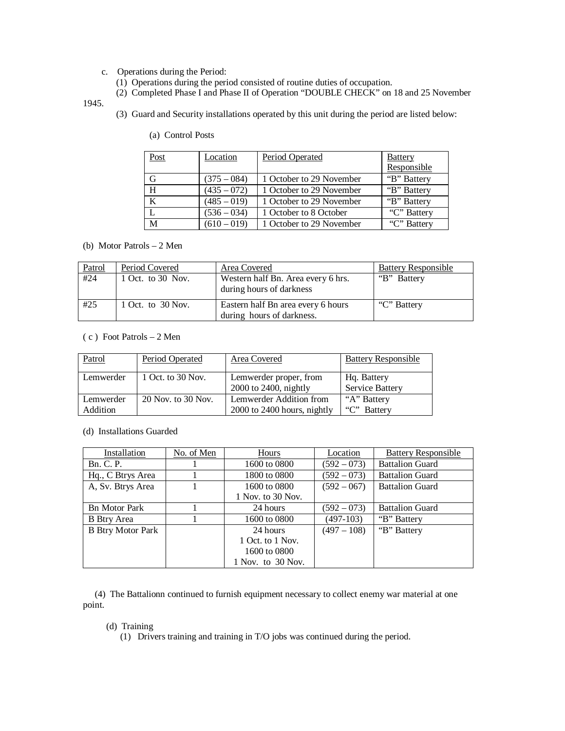- c. Operations during the Period:
	- (1) Operations during the period consisted of routine duties of occupation.
	- (2) Completed Phase I and Phase II of Operation "DOUBLE CHECK" on 18 and 25 November

1945.

(3) Guard and Security installations operated by this unit during the period are listed below:

| Post | Location      | Period Operated          | <b>Battery</b> |
|------|---------------|--------------------------|----------------|
|      |               |                          | Responsible    |
| G    | $(375 - 084)$ | 1 October to 29 November | "B" Battery    |
| ιH   | $(435 - 072)$ | 1 October to 29 November | "B" Battery    |
| K    | $(485 - 019)$ | 1 October to 29 November | "B" Battery    |
| L    | $(536 - 034)$ | 1 October to 8 October   | "C" Battery    |
| M    | $(610 - 019)$ | 1 October to 29 November | "C" Battery    |

(a) Control Posts

(b) Motor Patrols – 2 Men

| <b>Patrol</b> | Period Covered      | Area Covered                                                    | <b>Battery Responsible</b> |
|---------------|---------------------|-----------------------------------------------------------------|----------------------------|
| #24           | 1 Oct. to 30 Nov.   | Western half Bn. Area every 6 hrs.<br>during hours of darkness  | "B" Battery                |
| #25           | 1 Oct. to $30$ Nov. | Eastern half Bn area every 6 hours<br>during hours of darkness. | "C" Battery                |

( c ) Foot Patrols – 2 Men

| Patrol                       | Period Operated    | Area Covered                                           | <b>Battery Responsible</b>            |
|------------------------------|--------------------|--------------------------------------------------------|---------------------------------------|
| Lemwerder                    | 1 Oct. to 30 Nov.  | Lemwerder proper, from<br>$2000$ to $2400$ , nightly   | Hq. Battery<br>Service Battery        |
| Lemwerder<br><b>Addition</b> | 20 Nov. to 30 Nov. | Lemwerder Addition from<br>2000 to 2400 hours, nightly | "A" Battery<br><b>Battery</b><br>``C" |

(d) Installations Guarded

| Installation             | No. of Men | Hours             | Location      | <b>Battery Responsible</b> |
|--------------------------|------------|-------------------|---------------|----------------------------|
| Bn. C. P.                |            | 1600 to 0800      | $(592 - 073)$ | <b>Battalion Guard</b>     |
| Hq., C Btrys Area        |            | 1800 to 0800      | $(592 - 073)$ | <b>Battalion Guard</b>     |
| A, Sv. Btrys Area        |            | 1600 to 0800      | $(592 - 067)$ | <b>Battalion Guard</b>     |
|                          |            | 1 Nov. to 30 Nov. |               |                            |
| <b>Bn</b> Motor Park     |            | 24 hours          | $(592 - 073)$ | <b>Battalion Guard</b>     |
| <b>B</b> Btry Area       |            | 1600 to 0800      | (497-103)     | "B" Battery                |
| <b>B</b> Btry Motor Park |            | 24 hours          | $(497 - 108)$ | "B" Battery                |
|                          |            | 1 Oct. to 1 Nov.  |               |                            |
|                          |            | 1600 to 0800      |               |                            |
|                          |            | 1 Nov. to 30 Nov. |               |                            |

 (4) The Battalionn continued to furnish equipment necessary to collect enemy war material at one point.

### (d) Training

(1) Drivers training and training in T/O jobs was continued during the period.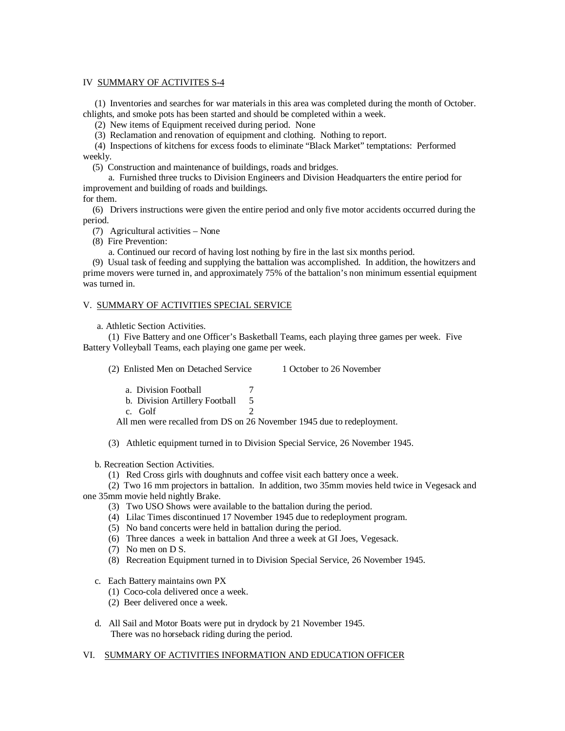#### IV SUMMARY OF ACTIVITES S-4

 (1) Inventories and searches for war materials in this area was completed during the month of October. chlights, and smoke pots has been started and should be completed within a week.

(2) New items of Equipment received during period. None

(3) Reclamation and renovation of equipment and clothing. Nothing to report.

 (4) Inspections of kitchens for excess foods to eliminate "Black Market" temptations: Performed weekly.

(5) Construction and maintenance of buildings, roads and bridges.

 a. Furnished three trucks to Division Engineers and Division Headquarters the entire period for improvement and building of roads and buildings.

for them.

 (6) Drivers instructions were given the entire period and only five motor accidents occurred during the period.

(7) Agricultural activities – None

(8) Fire Prevention:

a. Continued our record of having lost nothing by fire in the last six months period.

 (9) Usual task of feeding and supplying the battalion was accomplished. In addition, the howitzers and prime movers were turned in, and approximately 75% of the battalion's non minimum essential equipment was turned in.

### V. SUMMARY OF ACTIVITIES SPECIAL SERVICE

a. Athletic Section Activities.

 (1) Five Battery and one Officer's Basketball Teams, each playing three games per week. Five Battery Volleyball Teams, each playing one game per week.

| a. Division Football           |   |
|--------------------------------|---|
| b. Division Artillery Football | 5 |
| c. Golf                        |   |

All men were recalled from DS on 26 November 1945 due to redeployment.

(3) Athletic equipment turned in to Division Special Service, 26 November 1945.

b. Recreation Section Activities.

(1) Red Cross girls with doughnuts and coffee visit each battery once a week.

 (2) Two 16 mm projectors in battalion. In addition, two 35mm movies held twice in Vegesack and one 35mm movie held nightly Brake.

- (3) Two USO Shows were available to the battalion during the period.
- (4) Lilac Times discontinued 17 November 1945 due to redeployment program.
- (5) No band concerts were held in battalion during the period.
- (6) Three dances a week in battalion And three a week at GI Joes, Vegesack.
- (7) No men on D S.
- (8) Recreation Equipment turned in to Division Special Service, 26 November 1945.
- c. Each Battery maintains own PX
	- (1) Coco-cola delivered once a week.
	- (2) Beer delivered once a week.
- d. All Sail and Motor Boats were put in drydock by 21 November 1945. There was no horseback riding during the period.

#### VI. SUMMARY OF ACTIVITIES INFORMATION AND EDUCATION OFFICER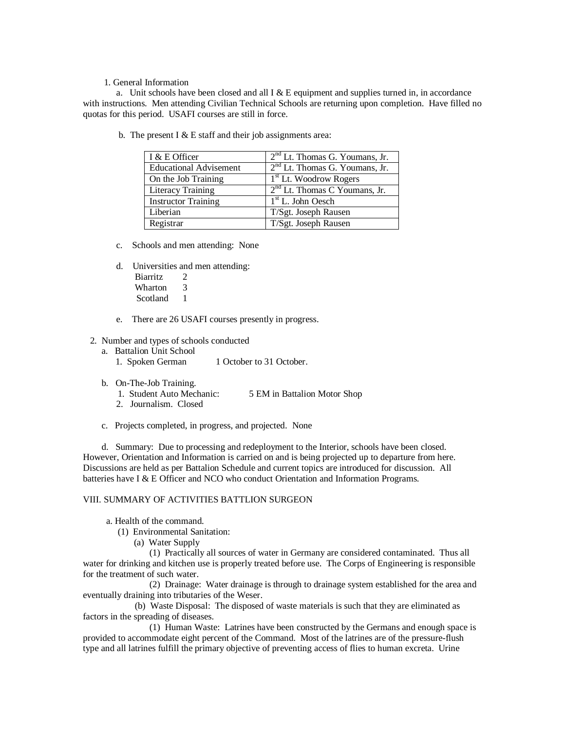#### 1. General Information

a. Unit schools have been closed and all  $I \& E$  equipment and supplies turned in, in accordance with instructions. Men attending Civilian Technical Schools are returning upon completion. Have filled no quotas for this period. USAFI courses are still in force.

| I & E Officer                 | $2nd$ Lt. Thomas G. Youmans, Jr. |
|-------------------------------|----------------------------------|
| <b>Educational Advisement</b> | $2nd$ Lt. Thomas G. Youmans, Jr. |
| On the Job Training           | $1st$ Lt. Woodrow Rogers         |
| Literacy Training             | $2nd$ Lt. Thomas C Youmans, Jr.  |
| <b>Instructor Training</b>    | $1st$ L. John Oesch              |
| Liberian                      | T/Sgt. Joseph Rausen             |
| Registrar                     | T/Sgt. Joseph Rausen             |

b. The present I & E staff and their job assignments area:

- c. Schools and men attending: None
- d. Universities and men attending:
	- Biarritz 2 Wharton 3 Scotland 1
- e. There are 26 USAFI courses presently in progress.
- 2. Number and types of schools conducted
	- a. Battalion Unit School
		- 1. Spoken German 1 October to 31 October.
	- b. On-The-Job Training.
		- 5 EM in Battalion Motor Shop
		- 2. Journalism. Closed
	- c. Projects completed, in progress, and projected. None

 d. Summary: Due to processing and redeployment to the Interior, schools have been closed. However, Orientation and Information is carried on and is being projected up to departure from here. Discussions are held as per Battalion Schedule and current topics are introduced for discussion. All batteries have I & E Officer and NCO who conduct Orientation and Information Programs.

### VIII. SUMMARY OF ACTIVITIES BATTLION SURGEON

- a. Health of the command.
	- (1) Environmental Sanitation:
		- (a) Water Supply

(1) Practically all sources of water in Germany are considered contaminated. Thus all water for drinking and kitchen use is properly treated before use. The Corps of Engineering is responsible for the treatment of such water.

(2) Drainage: Water drainage is through to drainage system established for the area and eventually draining into tributaries of the Weser.

 (b) Waste Disposal: The disposed of waste materials is such that they are eliminated as factors in the spreading of diseases.

(1) Human Waste: Latrines have been constructed by the Germans and enough space is provided to accommodate eight percent of the Command. Most of the latrines are of the pressure-flush type and all latrines fulfill the primary objective of preventing access of flies to human excreta. Urine